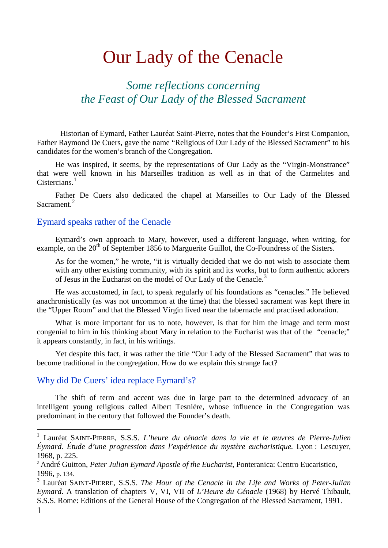# Our Lady of the Cenacle

*Some reflections concerning the Feast of Our Lady of the Blessed Sacrament*

Historian of Eymard, Father Lauréat Saint-Pierre, notes that the Founder's First Companion, Father Raymond De Cuers, gave the name "Religious of Our Lady of the Blessed Sacrament" to his candidates for the women's branch of the Congregation.

He was inspired, it seems, by the representations of Our Lady as the "Virgin-Monstrance" that were well known in his Marseilles tradition as well as in that of the Carmelites and Cistercians. $1$ 

Father De Cuers also dedicated the chapel at Marseilles to Our Lady of the Blessed Sacrament.<sup>[2](#page-0-1)</sup>

### Eymard speaks rather of the Cenacle

Eymard's own approach to Mary, however, used a different language, when writing, for example, on the 20<sup>th</sup> of September 1856 to Marguerite Guillot, the Co-Foundress of the Sisters.

As for the women," he wrote, "it is virtually decided that we do not wish to associate them with any other existing community, with its spirit and its works, but to form authentic adorers of Jesus in the Eucharist on the model of Our Lady of the Cenacle.<sup>[3](#page-0-2)</sup>

He was accustomed, in fact, to speak regularly of his foundations as "cenacles." He believed anachronistically (as was not uncommon at the time) that the blessed sacrament was kept there in the "Upper Room" and that the Blessed Virgin lived near the tabernacle and practised adoration.

What is more important for us to note, however, is that for him the image and term most congenial to him in his thinking about Mary in relation to the Eucharist was that of the "cenacle;" it appears constantly, in fact, in his writings.

Yet despite this fact, it was rather the title "Our Lady of the Blessed Sacrament" that was to become traditional in the congregation. How do we explain this strange fact?

## Why did De Cuers' idea replace Eymard's?

The shift of term and accent was due in large part to the determined advocacy of an intelligent young religious called Albert Tesnière, whose influence in the Congregation was predominant in the century that followed the Founder's death.

<span id="page-0-0"></span> <sup>1</sup> Lauréat SAINT-PIERRE, S.S.S. *L'heure du cénacle dans la vie et le œuvres de Pierre-Julien Éymard. Étude d'une progression dans l'expérience du mystère eucharistique.* Lyon : Lescuyer*,* 1968, p. 225.

<span id="page-0-1"></span><sup>2</sup> André Guitton, *Peter Julian Eymard Apostle of the Eucharist*, Ponteranica: Centro Eucaristico, 1996, p. 134.

<span id="page-0-2"></span><sup>3</sup> Lauréat SAINT-PIERRE, S.S.S. *The Hour of the Cenacle in the Life and Works of Peter-Julian Eymard*. A translation of chapters V, VI, VII of *L'Heure du Cénacle* (1968) by Hervé Thibault, S.S.S. Rome: Editions of the General House of the Congregation of the Blessed Sacrament, 1991.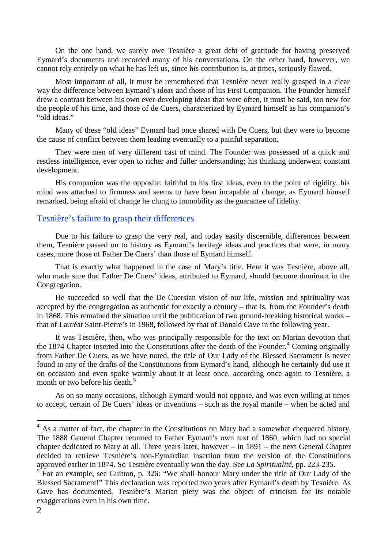On the one hand, we surely owe Tesnière a great debt of gratitude for having preserved Eymard's documents and recorded many of his conversations. On the other hand, however, we cannot rely entirely on what he has left us, since his contribution is, at times, seriously flawed.

Most important of all, it must be remembered that Tesnière never really grasped in a clear way the difference between Eymard's ideas and those of his First Companion. The Founder himself drew a contrast between his own ever-developing ideas that were often, it must be said, too new for the people of his time, and those of de Cuers, characterized by Eymard himself as his companion's "old ideas."

Many of these "old ideas" Eymard had once shared with De Cuers, but they were to become the cause of conflict between them leading eventually to a painful separation.

They were men of very different cast of mind. The Founder was possessed of a quick and restless intelligence, ever open to richer and fuller understanding; his thinking underwent constant development.

His companion was the opposite: faithful to his first ideas, even to the point of rigidity, his mind was attached to firmness and seems to have been incapable of change; as Eymard himself remarked, being afraid of change he clung to immobility as the guarantee of fidelity.

### Tesnière's failure to grasp their differences

Due to his failure to grasp the very real, and today easily discernible, differences between them, Tesnière passed on to history as Eymard's heritage ideas and practices that were, in many cases, more those of Father De Cuers' than those of Eymard himself.

That is exactly what happened in the case of Mary's title. Here it was Tesnière, above all, who made sure that Father De Cuers' ideas, attributed to Eymard, should become dominant in the Congregation.

He succeeded so well that the De Cuersian vision of our life, mission and spirituality was accepted by the congregation as authentic for exactly a century – that is, from the Founder's death in 1868. This remained the situation until the publication of two ground-breaking historical works – that of Lauréat Saint-Pierre's in 1968, followed by that of Donald Cave in the following year.

It was Tesnière, then, who was principally responsible for the text on Marian devotion that the 187[4](#page-1-0) Chapter inserted into the Constitutions after the death of the Founder.<sup>4</sup> Coming originally from Father De Cuers, as we have noted, the title of Our Lady of the Blessed Sacrament is never found in any of the drafts of the Constitutions from Eymard's hand, although he certainly did use it on occasion and even spoke warmly about it at least once, according once again to Tesnière, a month or two before his death. [5](#page-1-1)

As on so many occasions, although Eymard would not oppose, and was even willing at times to accept, certain of De Cuers' ideas or inventions – such as the royal mantle – when he acted and

<span id="page-1-0"></span> $4$  As a matter of fact, the chapter in the Constitutions on Mary had a somewhat chequered history. The 1888 General Chapter returned to Father Eymard's own text of 1860, which had no special chapter dedicated to Mary at all. Three years later, however – in 1891 – the next General Chapter decided to retrieve Tesnière's non-Eymardian insertion from the version of the Constitutions approved earlier in 1874. So Tesnière eventually won the day. See *La Spiritualité*, pp. 223-235. <sup>5</sup> For an example, see Guitton, p. 326: "We shall honour Mary under the title of Our Lady of the

<span id="page-1-1"></span>Blessed Sacrament!" This declaration was reported two years after Eymard's death by Tesnière. As Cave has documented, Tesnière's Marian piety was the object of criticism for its notable exaggerations even in his own time.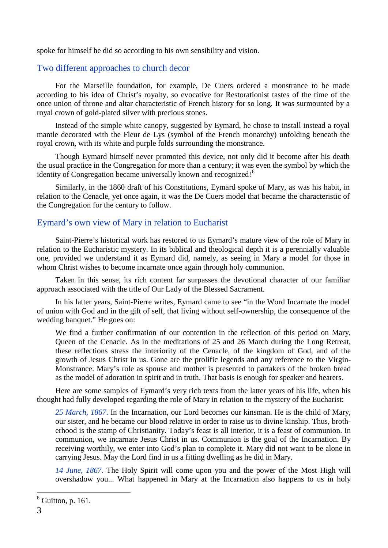spoke for himself he did so according to his own sensibility and vision.

## Two different approaches to church decor

For the Marseille foundation, for example, De Cuers ordered a monstrance to be made according to his idea of Christ's royalty, so evocative for Restorationist tastes of the time of the once union of throne and altar characteristic of French history for so long. It was surmounted by a royal crown of gold-plated silver with precious stones.

Instead of the simple white canopy, suggested by Eymard, he chose to install instead a royal mantle decorated with the Fleur de Lys (symbol of the French monarchy) unfolding beneath the royal crown, with its white and purple folds surrounding the monstrance.

Though Eymard himself never promoted this device, not only did it become after his death the usual practice in the Congregation for more than a century; it was even the symbol by which the identity of Congregation became universally known and recognized!<sup>[6](#page-2-0)</sup>

Similarly, in the 1860 draft of his Constitutions, Eymard spoke of Mary, as was his habit, in relation to the Cenacle, yet once again, it was the De Cuers model that became the characteristic of the Congregation for the century to follow.

### Eymard's own view of Mary in relation to Eucharist

Saint-Pierre's historical work has restored to us Eymard's mature view of the role of Mary in relation to the Eucharistic mystery. In its biblical and theological depth it is a perennially valuable one, provided we understand it as Eymard did, namely, as seeing in Mary a model for those in whom Christ wishes to become incarnate once again through holy communion.

Taken in this sense, its rich content far surpasses the devotional character of our familiar approach associated with the title of Our Lady of the Blessed Sacrament.

In his latter years, Saint-Pierre writes, Eymard came to see "in the Word Incarnate the model of union with God and in the gift of self, that living without self-ownership, the consequence of the wedding banquet." He goes on:

We find a further confirmation of our contention in the reflection of this period on Mary, Queen of the Cenacle. As in the meditations of 25 and 26 March during the Long Retreat, these reflections stress the interiority of the Cenacle, of the kingdom of God, and of the growth of Jesus Christ in us. Gone are the prolific legends and any reference to the Virgin-Monstrance. Mary's role as spouse and mother is presented to partakers of the broken bread as the model of adoration in spirit and in truth. That basis is enough for speaker and hearers.

Here are some samples of Eymard's very rich texts from the latter years of his life, when his thought had fully developed regarding the role of Mary in relation to the mystery of the Eucharist:

*25 March, 1867*. In the Incarnation, our Lord becomes our kinsman. He is the child of Mary, our sister, and he became our blood relative in order to raise us to divine kinship. Thus, brotherhood is the stamp of Christianity. Today's feast is all interior, it is a feast of communion. In communion, we incarnate Jesus Christ in us. Communion is the goal of the Incarnation. By receiving worthily, we enter into God's plan to complete it. Mary did not want to be alone in carrying Jesus. May the Lord find in us a fitting dwelling as he did in Mary.

*14 June, 1867*. The Holy Spirit will come upon you and the power of the Most High will overshadow you... What happened in Mary at the Incarnation also happens to us in holy

<span id="page-2-0"></span> $<sup>6</sup>$  Guitton, p. 161.</sup>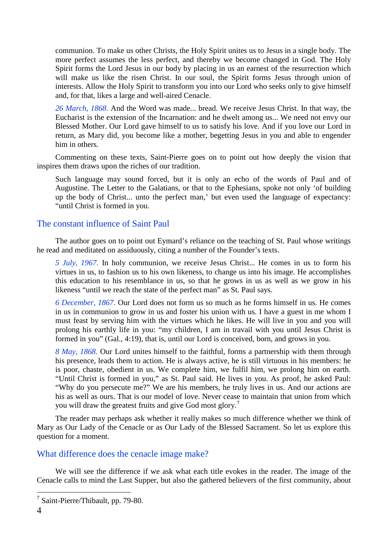communion. To make us other Christs, the Holy Spirit unites us to Jesus in a single body. The more perfect assumes the less perfect, and thereby we become changed in God. The Holy Spirit forms the Lord Jesus in our body by placing in us an earnest of the resurrection which will make us like the risen Christ. In our soul, the Spirit forms Jesus through union of interests. Allow the Holy Spirit to transform you into our Lord who seeks only to give himself and, for that, likes a large and well-aired Cenacle.

*26 March, 1868*. And the Word was made... bread. We receive Jesus Christ. In that way, the Eucharist is the extension of the Incarnation: and he dwelt among us... We need not envy our Blessed Mother. Our Lord gave himself to us to satisfy his love. And if you love our Lord in return, as Mary did, you become like a mother, begetting Jesus in you and able to engender him in others.

Commenting on these texts, Saint-Pierre goes on to point out how deeply the vision that inspires them draws upon the riches of our tradition.

Such language may sound forced, but it is only an echo of the words of Paul and of Augustine. The Letter to the Galatians, or that to the Ephesians, spoke not only 'of building up the body of Christ... unto the perfect man,' but even used the language of expectancy: "until Christ is formed in you.

# The constant influence of Saint Paul

The author goes on to point out Eymard's reliance on the teaching of St. Paul whose writings he read and meditated on assiduously, citing a number of the Founder's texts.

*5 July, 1967*. In holy communion, we receive Jesus Christ... He comes in us to form his virtues in us, to fashion us to his own likeness, to change us into his image. He accomplishes this education to his resemblance in us, so that he grows in us as well as we grow in his likeness "until we reach the state of the perfect man" as St. Paul says.

*6 December, 1867*. Our Lord does not form us so much as he forms himself in us. He comes in us in communion to grow in us and foster his union with us. I have a guest in me whom I must feast by serving him with the virtues which he likes. He will live in you and you will prolong his earthly life in you: "my children, I am in travail with you until Jesus Christ is formed in you" (Gal., 4:19), that is, until our Lord is conceived, born, and grows in you.

*8 May, 1868*. Our Lord unites himself to the faithful, forms a partnership with them through his presence, leads them to action. He is always active, he is still virtuous in his members: he is poor, chaste, obedient in us. We complete him, we fulfil him, we prolong him on earth. "Until Christ is formed in you," as St. Paul said. He lives in you. As proof, he asked Paul: "Why do you persecute me?" We are his members, he truly lives in us. And our actions are his as well as ours. That is our model of love. Never cease to maintain that union from which you will draw the greatest fruits and give God most glory.<sup>[7](#page-3-0)</sup>

The reader may perhaps ask whether it really makes so much difference whether we think of Mary as Our Lady of the Cenacle or as Our Lady of the Blessed Sacrament. So let us explore this question for a moment.

## What difference does the cenacle image make?

We will see the difference if we ask what each title evokes in the reader. The image of the Cenacle calls to mind the Last Supper, but also the gathered believers of the first community, about

<span id="page-3-0"></span> $<sup>7</sup>$  Saint-Pierre/Thibault, pp. 79-80.</sup>